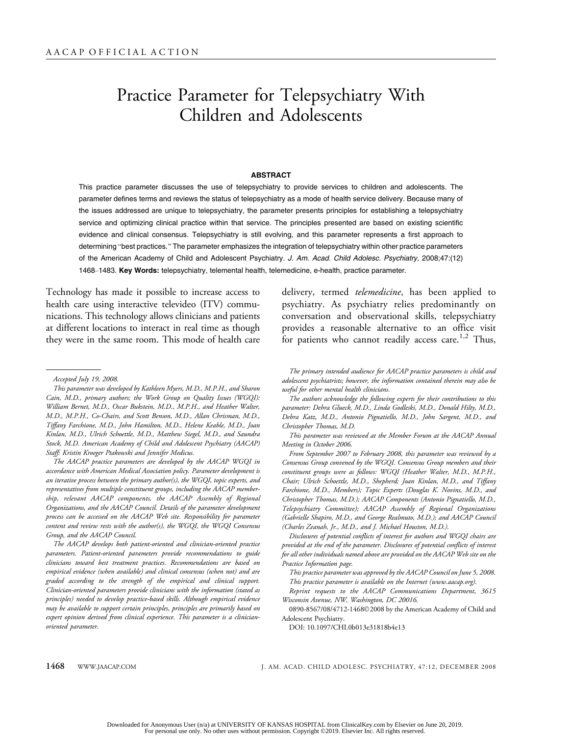# Practice Parameter for Telepsychiatry With Children and Adolescents

#### **ABSTRACT**

This practice parameter discusses the use of telepsychiatry to provide services to children and adolescents. The parameter defines terms and reviews the status of telepsychiatry as a mode of health service delivery. Because many of the issues addressed are unique to telepsychiatry, the parameter presents principles for establishing a telepsychiatry service and optimizing clinical practice within that service. The principles presented are based on existing scientific evidence and clinical consensus. Telepsychiatry is still evolving, and this parameter represents a first approach to determining "best practices." The parameter emphasizes the integration of telepsychiatry within other practice parameters of the American Academy of Child and Adolescent Psychiatry. J. Am. Acad. Child Adolesc. Psychiatry, 2008;47:(12) 1468-1483. Key Words: telepsychiatry, telemental health, telemedicine, e-health, practice parameter.

Technology has made it possible to increase access to health care using interactive televideo (ITV) communications. This technology allows clinicians and patients at different locations to interact in real time as though they were in the same room. This mode of health care

The AACAP practice parameters are developed by the AACAP WGQI in accordance with American Medical Association policy. Parameter development is an iterative process between the primary author(s), the WGQI, topic experts, and representatives from multiple constituent groups, including the AACAP membership, relevant AACAP components, the AACAP Assembly of Regional Organizations, and the AACAP Council. Details of the parameter development process can be accessed on the AACAP Web site. Responsibility for parameter content and review rests with the author(s), the WGQI, the WGQI Consensus Group, and the AACAP Council.

The AACAP develops both patient-oriented and clinician-oriented practice parameters. Patient-oriented parameters provide recommendations to guide clinicians toward best treatment practices. Recommendations are based on empirical evidence (when available) and clinical consensus (when not) and are graded according to the strength of the empirical and clinical support. Clinician-oriented parameters provide clinicians with the information (stated as principles) needed to develop practice-based skills. Although empirical evidence may be available to support certain principles, principles are primarily based on expert opinion derived from clinical experience. This parameter is a clinicianoriented parameter.

delivery, termed *telemedicine*, has been applied to psychiatry. As psychiatry relies predominantly on conversation and observational skills, telepsychiatry provides a reasonable alternative to an office visit for patients who cannot readily access care.<sup>1,2</sup> Thus,

The primary intended audience for AACAP practice parameters is child and adolescent psychiatrists; however, the information contained therein may also be useful for other mental health clinicians.

The authors acknowledge the following experts for their contributions to this parameter: Dehra Glueck, M.D., Linda Godleski, M.D., Donald Hilty, M.D., Debra Katz, M.D., Antonio Pignatiello, M.D., John Sargent, M.D., and Christopher Thomas, M.D.

This parameter was reviewed at the Member Forum at the AACAP Annual Meeting in October 2006.

From September 2007 to February 2008, this parameter was reviewed by a Consensus Group convened by the WGQI. Consensus Group members and their constituent groups were as follows: WGQI (Heather Walter, M.D., M.P.H., Chair; Ulrich Schoettle, M.D., Shepherd; Joan Kinlan, M.D., and Tiffany Farchione, M.D., Members); Topic Experts (Douglas K. Novins, M.D., and Christopher Thomas, M.D.); AACAP Components (Antonio Pignatiello, M.D., Telepsychiatry Committee); AACAP Assembly of Regional Organizations (Gabrielle Shapiro, M.D., and George Realmuto, M.D.); and AACAP Council (Charles Zeanah, Jr., M.D., and J. Michael Houston, M.D.).

Disclosures of potential conflicts of interest for authors and WGQI chairs are provided at the end of the parameter. Disclosures of potential conflicts of interest for all other individuals named above are provided on the AACAP Web site on the Practice Information page.

This practice parameter was approved by the AACAP Council on June 5, 2008. This practice parameter is available on the Internet (www.aacap.org).

Reprint requests to the AACAP Communications Department, 3615 Wisconsin Avenue, NW, Washington, DC 20016.

0890-8567/08/4712-1468©2008 by the American Academy of Child and Adolescent Psychiatry.

DOI: 10.1097/CHI.0b013e31818b4e13

Accepted July 19, 2008.

This parameter was developed by Kathleen Myers, M.D., M.P.H., and Sharon Cain, M.D., primary authors; the Work Group on Quality Issues (WGQI): William Bernet, M.D., Oscar Bukstein, M.D., M.P.H., and Heather Walter, M.D., M.P.H., Co-Chairs, and Scott Benson, M.D., Allan Chrisman, M.D., Tiffany Farchione, M.D., John Hamilton, M.D., Helene Keable, M.D., Joan Kinlan, M.D., Ulrich Schoettle, M.D., Matthew Siegel, M.D., and Saundra Stock, M.D. American Academy of Child and Adolescent Psychiatry (AACAP) Staff: Kristin Kroeger Ptakowski and Jennifer Medicus.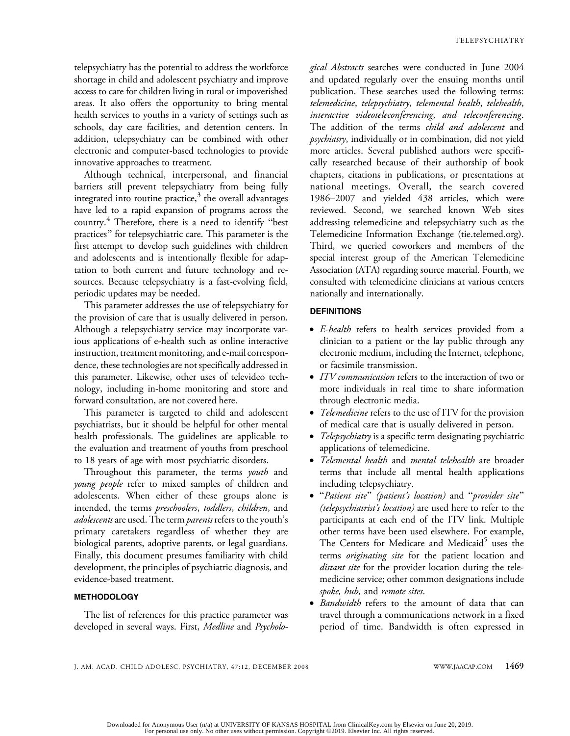telepsychiatry has the potential to address the workforce shortage in child and adolescent psychiatry and improve access to care for children living in rural or impoverished areas. It also offers the opportunity to bring mental health services to youths in a variety of settings such as schools, day care facilities, and detention centers. In addition, telepsychiatry can be combined with other electronic and computer-based technologies to provide innovative approaches to treatment.

Although technical, interpersonal, and financial barriers still prevent telepsychiatry from being fully integrated into routine practice, $3$  the overall advantages have led to a rapid expansion of programs across the country.<sup>4</sup> Therefore, there is a need to identify "best practices" for telepsychiatric care. This parameter is the first attempt to develop such guidelines with children and adolescents and is intentionally flexible for adaptation to both current and future technology and resources. Because telepsychiatry is a fast-evolving field, periodic updates may be needed.

This parameter addresses the use of telepsychiatry for the provision of care that is usually delivered in person. Although a telepsychiatry service may incorporate various applications of e-health such as online interactive instruction, treatment monitoring, and e-mail correspondence, these technologies are not specifically addressed in this parameter. Likewise, other uses of televideo technology, including in-home monitoring and store and forward consultation, are not covered here.

This parameter is targeted to child and adolescent psychiatrists, but it should be helpful for other mental health professionals. The guidelines are applicable to the evaluation and treatment of youths from preschool to 18 years of age with most psychiatric disorders.

Throughout this parameter, the terms youth and young people refer to mixed samples of children and adolescents. When either of these groups alone is intended, the terms preschoolers, toddlers, children, and *adolescents* are used. The term *parents* refers to the youth's primary caretakers regardless of whether they are biological parents, adoptive parents, or legal guardians. Finally, this document presumes familiarity with child development, the principles of psychiatric diagnosis, and evidence-based treatment.

### **METHODOLOGY**

The list of references for this practice parameter was developed in several ways. First, *Medline* and *Psycholo-*

gical Abstracts searches were conducted in June 2004 and updated regularly over the ensuing months until publication. These searches used the following terms: telemedicine, telepsychiatry, telemental health, telehealth, interactive videoteleconferencing, and teleconferencing. The addition of the terms *child and adolescent* and psychiatry, individually or in combination, did not yield more articles. Several published authors were specifically researched because of their authorship of book chapters, citations in publications, or presentations at national meetings. Overall, the search covered 1986–2007 and yielded 438 articles, which were reviewed. Second, we searched known Web sites addressing telemedicine and telepsychiatry such as the Telemedicine Information Exchange (tie.telemed.org). Third, we queried coworkers and members of the special interest group of the American Telemedicine Association (ATA) regarding source material. Fourth, we consulted with telemedicine clinicians at various centers nationally and internationally.

#### **DEFINITIONS**

- E-health refers to health services provided from a clinician to a patient or the lay public through any electronic medium, including the Internet, telephone, or facsimile transmission.
- *ITV communication* refers to the interaction of two or more individuals in real time to share information through electronic media.
- Telemedicine refers to the use of ITV for the provision of medical care that is usually delivered in person.
- *Telepsychiatry* is a specific term designating psychiatric applications of telemedicine.
- Telemental health and mental telehealth are broader terms that include all mental health applications including telepsychiatry.
- "Patient site" (patient's location) and "provider site" (telepsychiatrist's location) are used here to refer to the participants at each end of the ITV link. Multiple other terms have been used elsewhere. For example, The Centers for Medicare and Medicaid<sup>5</sup> uses the terms *originating site* for the patient location and distant site for the provider location during the telemedicine service; other common designations include spoke, hub, and remote sites.
- Bandwidth refers to the amount of data that can travel through a communications network in a fixed period of time. Bandwidth is often expressed in

J. AM. ACAD. CHILD ADOLESC. PSYCHIATRY, 47:12, DECEMBER 2008 WWW.JAACAP.COM 1469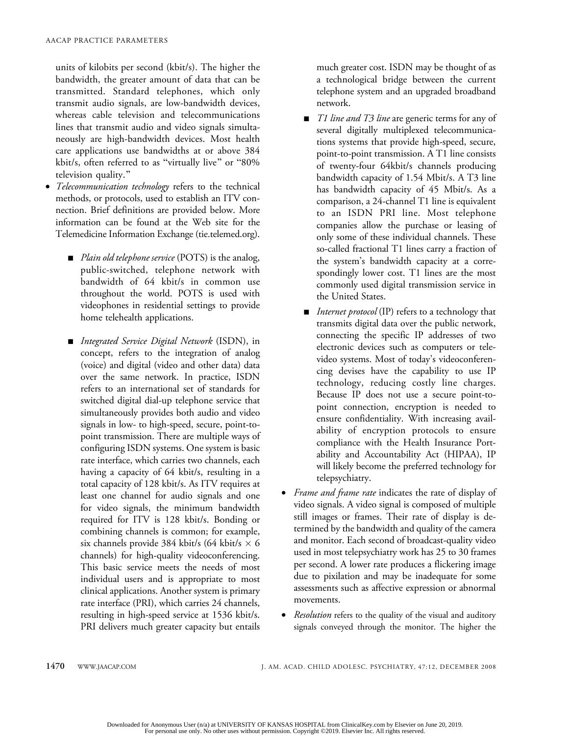units of kilobits per second (kbit/s). The higher the bandwidth, the greater amount of data that can be transmitted. Standard telephones, which only transmit audio signals, are low-bandwidth devices, whereas cable television and telecommunications lines that transmit audio and video signals simultaneously are high-bandwidth devices. Most health care applications use bandwidths at or above 384 kbit/s, often referred to as "virtually live" or " $80\%$ television quality."

- *Telecommunication technology* refers to the technical methods, or protocols, used to establish an ITV connection. Brief definitions are provided below. More information can be found at the Web site for the Telemedicine Information Exchange (tie.telemed.org).
	- $\blacksquare$  Plain old telephone service (POTS) is the analog, public-switched, telephone network with bandwidth of 64 kbit/s in common use throughout the world. POTS is used with videophones in residential settings to provide home telehealth applications.
	- *Integrated Service Digital Network* (ISDN), in concept, refers to the integration of analog (voice) and digital (video and other data) data over the same network. In practice, ISDN refers to an international set of standards for switched digital dial-up telephone service that simultaneously provides both audio and video signals in low- to high-speed, secure, point-topoint transmission. There are multiple ways of configuring ISDN systems. One system is basic rate interface, which carries two channels, each having a capacity of 64 kbit/s, resulting in a total capacity of 128 kbit/s. As ITV requires at least one channel for audio signals and one for video signals, the minimum bandwidth required for ITV is 128 kbit/s. Bonding or combining channels is common; for example, six channels provide 384 kbit/s (64 kbit/s  $\times$  6 channels) for high-quality videoconferencing. This basic service meets the needs of most individual users and is appropriate to most clinical applications. Another system is primary rate interface (PRI), which carries 24 channels, resulting in high-speed service at 1536 kbit/s. PRI delivers much greater capacity but entails

much greater cost. ISDN may be thought of as a technological bridge between the current telephone system and an upgraded broadband network.

- $\blacksquare$  T1 line and T3 line are generic terms for any of several digitally multiplexed telecommunications systems that provide high-speed, secure, point-to-point transmission. A T1 line consists of twenty-four 64kbit/s channels producing bandwidth capacity of 1.54 Mbit/s. A T3 line has bandwidth capacity of 45 Mbit/s. As a comparison, a 24-channel T1 line is equivalent to an ISDN PRI line. Most telephone companies allow the purchase or leasing of only some of these individual channels. These so-called fractional T1 lines carry a fraction of the system's bandwidth capacity at a correspondingly lower cost. T1 lines are the most commonly used digital transmission service in the United States.
- *Internet protocol* (IP) refers to a technology that transmits digital data over the public network, connecting the specific IP addresses of two electronic devices such as computers or televideo systems. Most of today's videoconferencing devises have the capability to use IP technology, reducing costly line charges. Because IP does not use a secure point-topoint connection, encryption is needed to ensure confidentiality. With increasing availability of encryption protocols to ensure compliance with the Health Insurance Portability and Accountability Act (HIPAA), IP will likely become the preferred technology for telepsychiatry.
- *Frame and frame rate* indicates the rate of display of video signals. A video signal is composed of multiple still images or frames. Their rate of display is determined by the bandwidth and quality of the camera and monitor. Each second of broadcast-quality video used in most telepsychiatry work has 25 to 30 frames per second. A lower rate produces a flickering image due to pixilation and may be inadequate for some assessments such as affective expression or abnormal movements.
- *Resolution* refers to the quality of the visual and auditory signals conveyed through the monitor. The higher the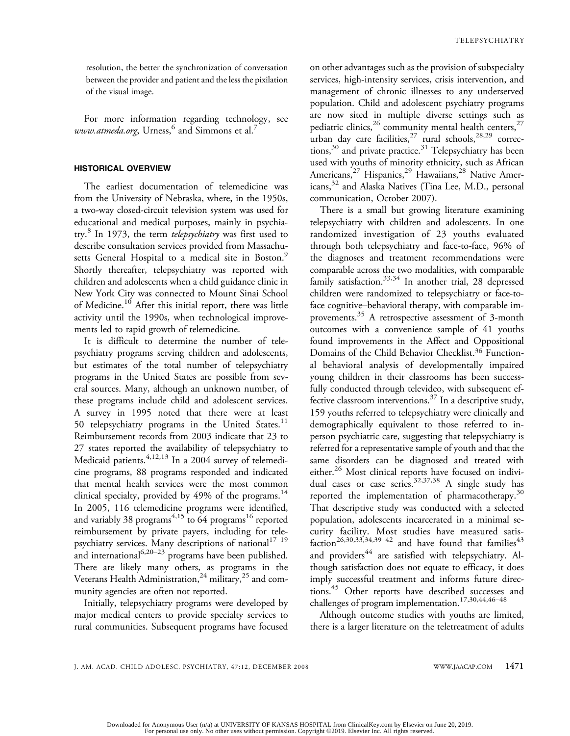resolution, the better the synchronization of conversation between the provider and patient and the less the pixilation of the visual image.

For more information regarding technology, see *www.atmeda.org*, Urness,<sup>6</sup> and Simmons et al.<sup>7</sup>

#### HISTORICAL OVERVIEW

The earliest documentation of telemedicine was from the University of Nebraska, where, in the 1950s, a two-way closed-circuit television system was used for educational and medical purposes, mainly in psychiatry.<sup>8</sup> In 1973, the term *telepsychiatry* was first used to describe consultation services provided from Massachusetts General Hospital to a medical site in Boston.<sup>9</sup> Shortly thereafter, telepsychiatry was reported with children and adolescents when a child guidance clinic in New York City was connected to Mount Sinai School of Medicine.<sup>10</sup> After this initial report, there was little activity until the 1990s, when technological improvements led to rapid growth of telemedicine.

It is difficult to determine the number of telepsychiatry programs serving children and adolescents, but estimates of the total number of telepsychiatry programs in the United States are possible from several sources. Many, although an unknown number, of these programs include child and adolescent services. A survey in 1995 noted that there were at least 50 telepsychiatry programs in the United States.<sup>11</sup> Reimbursement records from 2003 indicate that 23 to 27 states reported the availability of telepsychiatry to Medicaid patients. $4,12,13$  In a 2004 survey of telemedicine programs, 88 programs responded and indicated that mental health services were the most common clinical specialty, provided by  $49\%$  of the programs.<sup>14</sup> In 2005, 116 telemedicine programs were identified, and variably 38 programs<sup>4,15</sup> to  $64$  programs<sup>16</sup> reported reimbursement by private payers, including for telepsychiatry services. Many descriptions of national<sup>17-19</sup> and international  $6,20-23$  programs have been published. There are likely many others, as programs in the Veterans Health Administration,<sup>24</sup> military,<sup>25</sup> and community agencies are often not reported.

Initially, telepsychiatry programs were developed by major medical centers to provide specialty services to rural communities. Subsequent programs have focused

on other advantages such as the provision of subspecialty services, high-intensity services, crisis intervention, and management of chronic illnesses to any underserved population. Child and adolescent psychiatry programs are now sited in multiple diverse settings such as pediatric clinics,<sup>26</sup> community mental health centers,<sup>27</sup> urban day care facilities,  $27 \text{ rural schools}, 28,29 \text{ correct}$ tions, $30$  and private practice. $31$  Telepsychiatry has been used with youths of minority ethnicity, such as African Americans,<sup>27</sup> Hispanics,<sup>29</sup> Hawaiians,<sup>28</sup> Native Americans,32 and Alaska Natives (Tina Lee, M.D., personal communication, October 2007).

There is a small but growing literature examining telepsychiatry with children and adolescents. In one randomized investigation of 23 youths evaluated through both telepsychiatry and face-to-face, 96% of the diagnoses and treatment recommendations were comparable across the two modalities, with comparable family satisfaction.<sup>33,34</sup> In another trial, 28 depressed children were randomized to telepsychiatry or face-toface cognitive-behavioral therapy, with comparable improvements.<sup>35</sup> A retrospective assessment of 3-month outcomes with a convenience sample of 41 youths found improvements in the Affect and Oppositional Domains of the Child Behavior Checklist.<sup>36</sup> Functional behavioral analysis of developmentally impaired young children in their classrooms has been successfully conducted through televideo, with subsequent effective classroom interventions. $^{37}$  In a descriptive study, 159 youths referred to telepsychiatry were clinically and demographically equivalent to those referred to inperson psychiatric care, suggesting that telepsychiatry is referred for a representative sample of youth and that the same disorders can be diagnosed and treated with either.<sup>26</sup> Most clinical reports have focused on individual cases or case series.<sup>32,37,38</sup> A single study has reported the implementation of pharmacotherapy.<sup>30</sup> That descriptive study was conducted with a selected population, adolescents incarcerated in a minimal security facility. Most studies have measured satisfaction<sup>26,30,33,34,39–42</sup> and have found that families<sup>43</sup> and providers<sup>44</sup> are satisfied with telepsychiatry. Although satisfaction does not equate to efficacy, it does imply successful treatment and informs future directions.45 Other reports have described successes and challenges of program implementation.<sup>17,30,44,46-48</sup>

Although outcome studies with youths are limited, there is a larger literature on the teletreatment of adults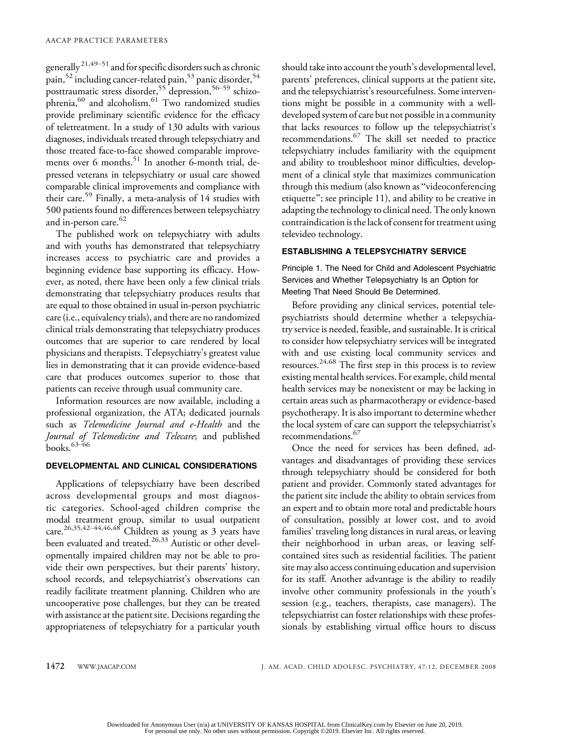generally  $2^{1,49-51}$  and for specific disorders such as chronic pain,<sup>52</sup> including cancer-related pain,<sup>53</sup> panic disorder,<sup>54</sup> posttraumatic stress disorder,<sup>55</sup> depression,<sup>56–59</sup> schizo- $\overline{\text{p}}$ hrenia, $^{60}$  and alcoholism. $^{61}$  Two randomized studies provide preliminary scientific evidence for the efficacy of teletreatment. In a study of 130 adults with various diagnoses, individuals treated through telepsychiatry and those treated face-to-face showed comparable improvements over 6 months.<sup>51</sup> In another 6-month trial, depressed veterans in telepsychiatry or usual care showed comparable clinical improvements and compliance with their care.<sup>59</sup> Finally, a meta-analysis of 14 studies with 500 patients found no differences between telepsychiatry and in-person care.<sup>62</sup>

The published work on telepsychiatry with adults and with youths has demonstrated that telepsychiatry increases access to psychiatric care and provides a beginning evidence base supporting its efficacy. However, as noted, there have been only a few clinical trials demonstrating that telepsychiatry produces results that are equal to those obtained in usual in-person psychiatric care (i.e., equivalency trials), and there are no randomized clinical trials demonstrating that telepsychiatry produces outcomes that are superior to care rendered by local physicians and therapists. Telepsychiatry's greatest value lies in demonstrating that it can provide evidence-based care that produces outcomes superior to those that patients can receive through usual community care.

Information resources are now available, including a professional organization, the ATA; dedicated journals such as Telemedicine Journal and e-Health and the Journal of Telemedicine and Telecare; and published  $3\frac{63}{66}$ 

#### DEVELOPMENTAL AND CLINICAL CONSIDERATIONS

Applications of telepsychiatry have been described across developmental groups and most diagnostic categories. School-aged children comprise the modal treatment group, similar to usual outpatient care.<sup>26,35,42-44,46,48</sup> Children as young as 3 years have been evaluated and treated.<sup>26,33</sup> Autistic or other developmentally impaired children may not be able to provide their own perspectives, but their parents' history, school records, and telepsychiatrist's observations can readily facilitate treatment planning. Children who are uncooperative pose challenges, but they can be treated with assistance at the patient site. Decisions regarding the appropriateness of telepsychiatry for a particular youth

should take into account the youth's developmental level, parents' preferences, clinical supports at the patient site, and the telepsychiatrist's resourcefulness. Some interventions might be possible in a community with a welldeveloped system of care but not possible in a community that lacks resources to follow up the telepsychiatrist's recommendations.<sup>67</sup> The skill set needed to practice telepsychiatry includes familiarity with the equipment and ability to troubleshoot minor difficulties, development of a clinical style that maximizes communication through this medium (also known as "videoconferencing etiquette"; see principle 11), and ability to be creative in adapting the technology to clinical need. The only known contraindication is the lack of consent for treatment using televideo technology.

## ESTABLISHING A TELEPSYCHIATRY SERVICE

Principle 1. The Need for Child and Adolescent Psychiatric Services and Whether Telepsychiatry Is an Option for Meeting That Need Should Be Determined.

Before providing any clinical services, potential telepsychiatrists should determine whether a telepsychiatry service is needed, feasible, and sustainable. It is critical to consider how telepsychiatry services will be integrated with and use existing local community services and resources.<sup>24,68</sup> The first step in this process is to review existing mental health services. For example, child mental health services may be nonexistent or may be lacking in certain areas such as pharmacotherapy or evidence-based psychotherapy. It is also important to determine whether the local system of care can support the telepsychiatrist's recommendations.<sup>67</sup>

Once the need for services has been defined, advantages and disadvantages of providing these services through telepsychiatry should be considered for both patient and provider. Commonly stated advantages for the patient site include the ability to obtain services from an expert and to obtain more total and predictable hours of consultation, possibly at lower cost, and to avoid families' traveling long distances in rural areas, or leaving their neighborhood in urban areas, or leaving selfcontained sites such as residential facilities. The patient site may also access continuing education and supervision for its staff. Another advantage is the ability to readily involve other community professionals in the youth's session (e.g., teachers, therapists, case managers). The telepsychiatrist can foster relationships with these professionals by establishing virtual office hours to discuss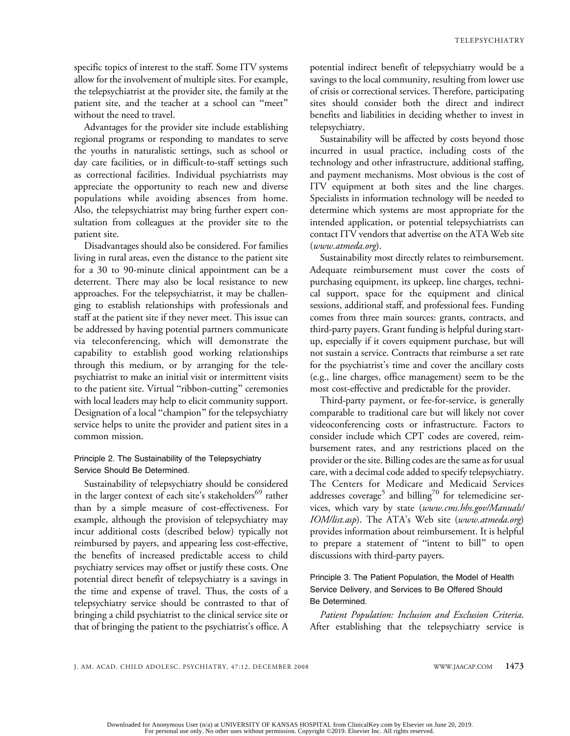specific topics of interest to the staff. Some ITV systems allow for the involvement of multiple sites. For example, the telepsychiatrist at the provider site, the family at the patient site, and the teacher at a school can "meet" without the need to travel.

Advantages for the provider site include establishing regional programs or responding to mandates to serve the youths in naturalistic settings, such as school or day care facilities, or in difficult-to-staff settings such as correctional facilities. Individual psychiatrists may appreciate the opportunity to reach new and diverse populations while avoiding absences from home. Also, the telepsychiatrist may bring further expert consultation from colleagues at the provider site to the patient site.

Disadvantages should also be considered. For families living in rural areas, even the distance to the patient site for a 30 to 90-minute clinical appointment can be a deterrent. There may also be local resistance to new approaches. For the telepsychiatrist, it may be challenging to establish relationships with professionals and staff at the patient site if they never meet. This issue can be addressed by having potential partners communicate via teleconferencing, which will demonstrate the capability to establish good working relationships through this medium, or by arranging for the telepsychiatrist to make an initial visit or intermittent visits to the patient site. Virtual "ribbon-cutting" ceremonies with local leaders may help to elicit community support. Designation of a local "champion" for the telepsychiatry service helps to unite the provider and patient sites in a common mission.

## Principle 2. The Sustainability of the Telepsychiatry Service Should Be Determined.

Sustainability of telepsychiatry should be considered in the larger context of each site's stakeholders<sup>69</sup> rather than by a simple measure of cost-effectiveness. For example, although the provision of telepsychiatry may incur additional costs (described below) typically not reimbursed by payers, and appearing less cost-effective, the benefits of increased predictable access to child psychiatry services may offset or justify these costs. One potential direct benefit of telepsychiatry is a savings in the time and expense of travel. Thus, the costs of a telepsychiatry service should be contrasted to that of bringing a child psychiatrist to the clinical service site or that of bringing the patient to the psychiatrist's office. A

potential indirect benefit of telepsychiatry would be a savings to the local community, resulting from lower use of crisis or correctional services. Therefore, participating sites should consider both the direct and indirect benefits and liabilities in deciding whether to invest in telepsychiatry.

Sustainability will be affected by costs beyond those incurred in usual practice, including costs of the technology and other infrastructure, additional staffing, and payment mechanisms. Most obvious is the cost of ITV equipment at both sites and the line charges. Specialists in information technology will be needed to determine which systems are most appropriate for the intended application, or potential telepsychiatrists can contact ITV vendors that advertise on the ATA Web site (www.atmeda.org).

Sustainability most directly relates to reimbursement. Adequate reimbursement must cover the costs of purchasing equipment, its upkeep, line charges, technical support, space for the equipment and clinical sessions, additional staff, and professional fees. Funding comes from three main sources: grants, contracts, and third-party payers. Grant funding is helpful during startup, especially if it covers equipment purchase, but will not sustain a service. Contracts that reimburse a set rate for the psychiatrist's time and cover the ancillary costs (e.g., line charges, office management) seem to be the most cost-effective and predictable for the provider.

Third-party payment, or fee-for-service, is generally comparable to traditional care but will likely not cover videoconferencing costs or infrastructure. Factors to consider include which CPT codes are covered, reimbursement rates, and any restrictions placed on the provider or the site. Billing codes are the same as for usual care, with a decimal code added to specify telepsychiatry. The Centers for Medicare and Medicaid Services addresses coverage<sup>5</sup> and billing<sup>70</sup> for telemedicine services, which vary by state (www.cms.hhs.gov/Manuals/ IOM/list.asp). The ATA's Web site (www.atmeda.org) provides information about reimbursement. It is helpful to prepare a statement of "intent to bill" to open discussions with third-party payers.

Principle 3. The Patient Population, the Model of Health Service Delivery, and Services to Be Offered Should Be Determined.

Patient Population: Inclusion and Exclusion Criteria. After establishing that the telepsychiatry service is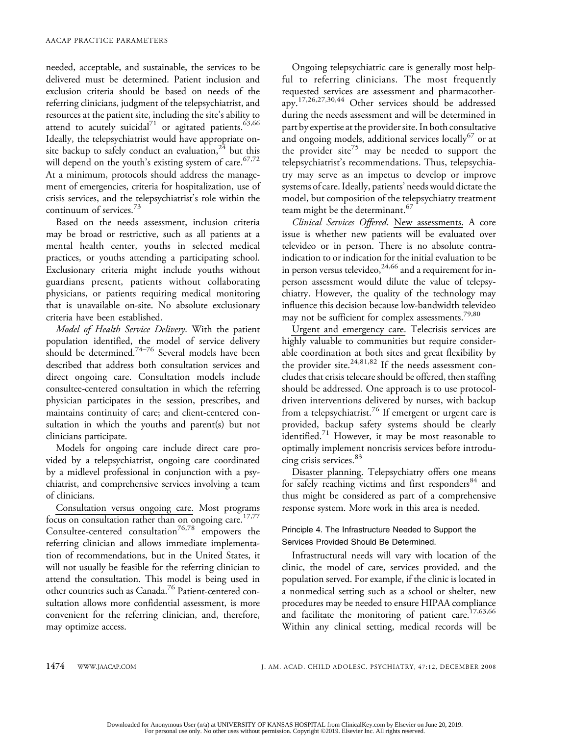needed, acceptable, and sustainable, the services to be delivered must be determined. Patient inclusion and exclusion criteria should be based on needs of the referring clinicians, judgment of the telepsychiatrist, and resources at the patient site, including the site's ability to attend to acutely suicidal<sup>71</sup> or agitated patients.<sup>63,66</sup> Ideally, the telepsychiatrist would have appropriate onsite backup to safely conduct an evaluation, $^{24}$  but this will depend on the youth's existing system of care. $67,72$ At a minimum, protocols should address the management of emergencies, criteria for hospitalization, use of crisis services, and the telepsychiatrist's role within the continuum of services.<sup>73</sup>

Based on the needs assessment, inclusion criteria may be broad or restrictive, such as all patients at a mental health center, youths in selected medical practices, or youths attending a participating school. Exclusionary criteria might include youths without guardians present, patients without collaborating physicians, or patients requiring medical monitoring that is unavailable on-site. No absolute exclusionary criteria have been established.

Model of Health Service Delivery. With the patient population identified, the model of service delivery should be determined.<sup>74-76</sup> Several models have been described that address both consultation services and direct ongoing care. Consultation models include consultee-centered consultation in which the referring physician participates in the session, prescribes, and maintains continuity of care; and client-centered consultation in which the youths and parent(s) but not clinicians participate.

Models for ongoing care include direct care provided by a telepsychiatrist, ongoing care coordinated by a midlevel professional in conjunction with a psychiatrist, and comprehensive services involving a team of clinicians.

Consultation versus ongoing care. Most programs focus on consultation rather than on ongoing care.<sup>17,77</sup> Consultee-centered consultation<sup>76,78</sup> empowers the referring clinician and allows immediate implementation of recommendations, but in the United States, it will not usually be feasible for the referring clinician to attend the consultation. This model is being used in other countries such as Canada.<sup>76</sup> Patient-centered consultation allows more confidential assessment, is more convenient for the referring clinician, and, therefore, may optimize access.

Ongoing telepsychiatric care is generally most helpful to referring clinicians. The most frequently requested services are assessment and pharmacotherapy.17,26,27,30,44 Other services should be addressed during the needs assessment and will be determined in part by expertise at the provider site. In both consultative and ongoing models, additional services locally $67$  or at the provider site<sup>75</sup> may be needed to support the telepsychiatrist's recommendations. Thus, telepsychiatry may serve as an impetus to develop or improve systems of care. Ideally, patients' needs would dictate the model, but composition of the telepsychiatry treatment team might be the determinant.<sup>67</sup>

Clinical Services Offered. New assessments. A core issue is whether new patients will be evaluated over televideo or in person. There is no absolute contraindication to or indication for the initial evaluation to be in person versus televideo,  $24,66$  and a requirement for inperson assessment would dilute the value of telepsychiatry. However, the quality of the technology may influence this decision because low-bandwidth televideo may not be sufficient for complex assessments.<sup>79,80</sup>

Urgent and emergency care. Telecrisis services are highly valuable to communities but require considerable coordination at both sites and great flexibility by the provider site.<sup>24,81,82</sup> If the needs assessment concludes that crisis telecare should be offered, then staffing should be addressed. One approach is to use protocoldriven interventions delivered by nurses, with backup from a telepsychiatrist.<sup>76</sup> If emergent or urgent care is provided, backup safety systems should be clearly identified.<sup>71</sup> However, it may be most reasonable to optimally implement noncrisis services before introducing crisis services.<sup>83</sup>

Disaster planning. Telepsychiatry offers one means for safely reaching victims and first responders<sup>84</sup> and thus might be considered as part of a comprehensive response system. More work in this area is needed.

# Principle 4. The Infrastructure Needed to Support the Services Provided Should Be Determined.

Infrastructural needs will vary with location of the clinic, the model of care, services provided, and the population served. For example, if the clinic is located in a nonmedical setting such as a school or shelter, new procedures may be needed to ensure HIPAA compliance and facilitate the monitoring of patient care.<sup>17,63,66</sup> Within any clinical setting, medical records will be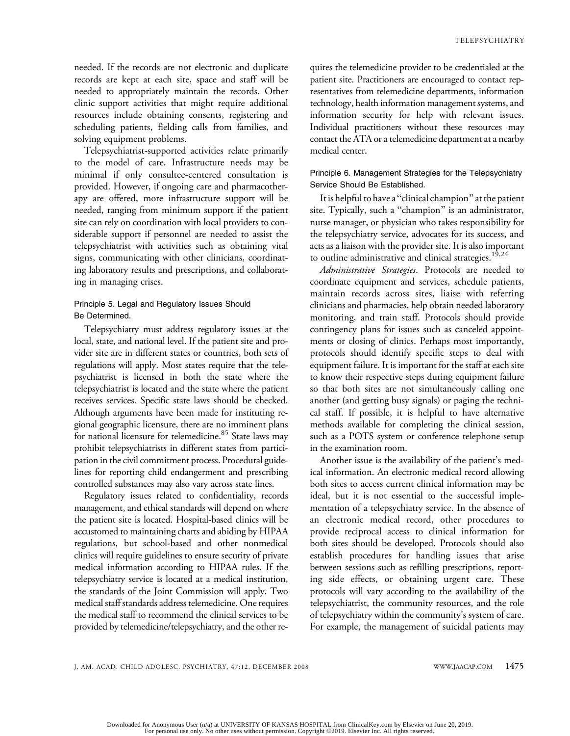needed. If the records are not electronic and duplicate records are kept at each site, space and staff will be needed to appropriately maintain the records. Other clinic support activities that might require additional resources include obtaining consents, registering and scheduling patients, fielding calls from families, and solving equipment problems.

Telepsychiatrist-supported activities relate primarily to the model of care. Infrastructure needs may be minimal if only consultee-centered consultation is provided. However, if ongoing care and pharmacotherapy are offered, more infrastructure support will be needed, ranging from minimum support if the patient site can rely on coordination with local providers to considerable support if personnel are needed to assist the telepsychiatrist with activities such as obtaining vital signs, communicating with other clinicians, coordinating laboratory results and prescriptions, and collaborating in managing crises.

## Principle 5. Legal and Regulatory Issues Should Be Determined.

Telepsychiatry must address regulatory issues at the local, state, and national level. If the patient site and provider site are in different states or countries, both sets of regulations will apply. Most states require that the telepsychiatrist is licensed in both the state where the telepsychiatrist is located and the state where the patient receives services. Specific state laws should be checked. Although arguments have been made for instituting regional geographic licensure, there are no imminent plans for national licensure for telemedicine.<sup>85</sup> State laws may prohibit telepsychiatrists in different states from participation in the civil commitment process. Procedural guidelines for reporting child endangerment and prescribing controlled substances may also vary across state lines.

Regulatory issues related to confidentiality, records management, and ethical standards will depend on where the patient site is located. Hospital-based clinics will be accustomed to maintaining charts and abiding by HIPAA regulations, but school-based and other nonmedical clinics will require guidelines to ensure security of private medical information according to HIPAA rules. If the telepsychiatry service is located at a medical institution, the standards of the Joint Commission will apply. Two medical staff standards address telemedicine. One requires the medical staff to recommend the clinical services to be provided by telemedicine/telepsychiatry, and the other requires the telemedicine provider to be credentialed at the patient site. Practitioners are encouraged to contact representatives from telemedicine departments, information technology, health information management systems, and information security for help with relevant issues. Individual practitioners without these resources may contact the ATA or a telemedicine department at a nearby medical center.

## Principle 6. Management Strategies for the Telepsychiatry Service Should Be Established.

It is helpful to have a "clinical champion" at the patient site. Typically, such a "champion" is an administrator, nurse manager, or physician who takes responsibility for the telepsychiatry service, advocates for its success, and acts as a liaison with the provider site. It is also important to outline administrative and clinical strategies.<sup>19,24</sup>

Administrative Strategies. Protocols are needed to coordinate equipment and services, schedule patients, maintain records across sites, liaise with referring clinicians and pharmacies, help obtain needed laboratory monitoring, and train staff. Protocols should provide contingency plans for issues such as canceled appointments or closing of clinics. Perhaps most importantly, protocols should identify specific steps to deal with equipment failure. It is important for the staff at each site to know their respective steps during equipment failure so that both sites are not simultaneously calling one another (and getting busy signals) or paging the technical staff. If possible, it is helpful to have alternative methods available for completing the clinical session, such as a POTS system or conference telephone setup in the examination room.

Another issue is the availability of the patient's medical information. An electronic medical record allowing both sites to access current clinical information may be ideal, but it is not essential to the successful implementation of a telepsychiatry service. In the absence of an electronic medical record, other procedures to provide reciprocal access to clinical information for both sites should be developed. Protocols should also establish procedures for handling issues that arise between sessions such as refilling prescriptions, reporting side effects, or obtaining urgent care. These protocols will vary according to the availability of the telepsychiatrist, the community resources, and the role of telepsychiatry within the community's system of care. For example, the management of suicidal patients may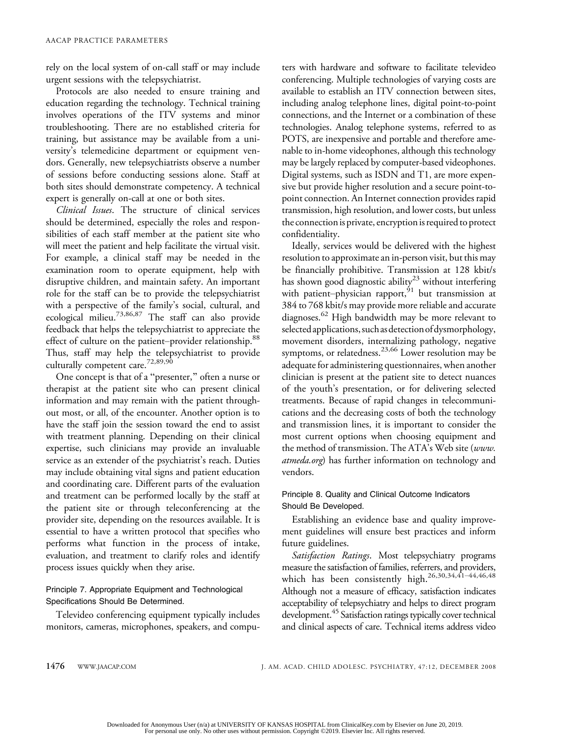rely on the local system of on-call staff or may include urgent sessions with the telepsychiatrist.

Protocols are also needed to ensure training and education regarding the technology. Technical training involves operations of the ITV systems and minor troubleshooting. There are no established criteria for training, but assistance may be available from a university's telemedicine department or equipment vendors. Generally, new telepsychiatrists observe a number of sessions before conducting sessions alone. Staff at both sites should demonstrate competency. A technical expert is generally on-call at one or both sites.

Clinical Issues. The structure of clinical services should be determined, especially the roles and responsibilities of each staff member at the patient site who will meet the patient and help facilitate the virtual visit. For example, a clinical staff may be needed in the examination room to operate equipment, help with disruptive children, and maintain safety. An important role for the staff can be to provide the telepsychiatrist with a perspective of the family's social, cultural, and ecological milieu.<sup>73,86,87</sup> The staff can also provide feedback that helps the telepsychiatrist to appreciate the effect of culture on the patient-provider relationship.<sup>88</sup> Thus, staff may help the telepsychiatrist to provide culturally competent care.<sup>72,89,90</sup>

One concept is that of a "presenter," often a nurse or therapist at the patient site who can present clinical information and may remain with the patient throughout most, or all, of the encounter. Another option is to have the staff join the session toward the end to assist with treatment planning. Depending on their clinical expertise, such clinicians may provide an invaluable service as an extender of the psychiatrist's reach. Duties may include obtaining vital signs and patient education and coordinating care. Different parts of the evaluation and treatment can be performed locally by the staff at the patient site or through teleconferencing at the provider site, depending on the resources available. It is essential to have a written protocol that specifies who performs what function in the process of intake, evaluation, and treatment to clarify roles and identify process issues quickly when they arise.

## Principle 7. Appropriate Equipment and Technological Specifications Should Be Determined.

Televideo conferencing equipment typically includes monitors, cameras, microphones, speakers, and computers with hardware and software to facilitate televideo conferencing. Multiple technologies of varying costs are available to establish an ITV connection between sites, including analog telephone lines, digital point-to-point connections, and the Internet or a combination of these technologies. Analog telephone systems, referred to as POTS, are inexpensive and portable and therefore amenable to in-home videophones, although this technology may be largely replaced by computer-based videophones. Digital systems, such as ISDN and T1, are more expensive but provide higher resolution and a secure point-topoint connection. An Internet connection provides rapid transmission, high resolution, and lower costs, but unless the connection is private, encryption is required to protect confidentiality.

Ideally, services would be delivered with the highest resolution to approximate an in-person visit, but this may be financially prohibitive. Transmission at 128 kbit/s has shown good diagnostic ability<sup>23</sup> without interfering with patient-physician rapport,  $91$  but transmission at 384 to 768 kbit/s may provide more reliable and accurate diagnoses.62 High bandwidth may be more relevant to selected applications, such as detection of dysmorphology, movement disorders, internalizing pathology, negative symptoms, or relatedness.<sup>23,66</sup> Lower resolution may be adequate for administering questionnaires, when another clinician is present at the patient site to detect nuances of the youth's presentation, or for delivering selected treatments. Because of rapid changes in telecommunications and the decreasing costs of both the technology and transmission lines, it is important to consider the most current options when choosing equipment and the method of transmission. The ATA's Web site (www. atmeda.org) has further information on technology and vendors.

## Principle 8. Quality and Clinical Outcome Indicators Should Be Developed.

Establishing an evidence base and quality improvement guidelines will ensure best practices and inform future guidelines.

Satisfaction Ratings. Most telepsychiatry programs measure the satisfaction of families, referrers, and providers, which has been consistently high.<sup>26,30,34,41-44,46,48</sup> Although not a measure of efficacy, satisfaction indicates acceptability of telepsychiatry and helps to direct program development.<sup>45</sup> Satisfaction ratings typically cover technical and clinical aspects of care. Technical items address video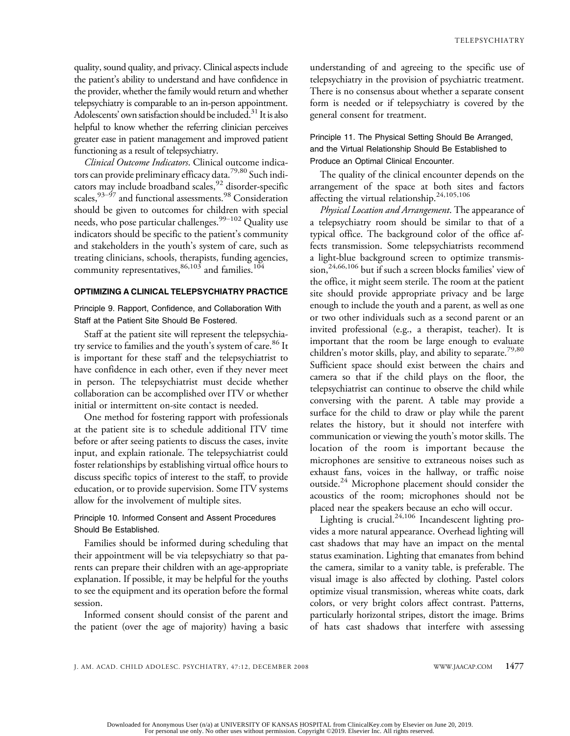quality, sound quality, and privacy. Clinical aspects include the patient's ability to understand and have confidence in the provider, whether the family would return and whether telepsychiatry is comparable to an in-person appointment. Adolescents' own satisfaction should be included.<sup>31</sup> It is also helpful to know whether the referring clinician perceives greater ease in patient management and improved patient functioning as a result of telepsychiatry.

Clinical Outcome Indicators. Clinical outcome indicators can provide preliminary efficacy data.<sup>79,80</sup> Such indicators may include broadband scales,<sup>92</sup> disorder-specific scales,  $93-97$  and functional assessments.  $98$  Consideration should be given to outcomes for children with special needs, who pose particular challenges.<sup>99-102</sup> Quality use indicators should be specific to the patient's community and stakeholders in the youth's system of care, such as treating clinicians, schools, therapists, funding agencies, community representatives,  $86,103$  and families.<sup>104</sup>

#### OPTIMIZING A CLINICAL TELEPSYCHIATRY PRACTICE

Principle 9. Rapport, Confidence, and Collaboration With Staff at the Patient Site Should Be Fostered.

Staff at the patient site will represent the telepsychiatry service to families and the youth's system of care.<sup>86</sup> It is important for these staff and the telepsychiatrist to have confidence in each other, even if they never meet in person. The telepsychiatrist must decide whether collaboration can be accomplished over ITV or whether initial or intermittent on-site contact is needed.

One method for fostering rapport with professionals at the patient site is to schedule additional ITV time before or after seeing patients to discuss the cases, invite input, and explain rationale. The telepsychiatrist could foster relationships by establishing virtual office hours to discuss specific topics of interest to the staff, to provide education, or to provide supervision. Some ITV systems allow for the involvement of multiple sites.

## Principle 10. Informed Consent and Assent Procedures Should Be Established.

Families should be informed during scheduling that their appointment will be via telepsychiatry so that parents can prepare their children with an age-appropriate explanation. If possible, it may be helpful for the youths to see the equipment and its operation before the formal session.

Informed consent should consist of the parent and the patient (over the age of majority) having a basic understanding of and agreeing to the specific use of telepsychiatry in the provision of psychiatric treatment. There is no consensus about whether a separate consent form is needed or if telepsychiatry is covered by the general consent for treatment.

Principle 11. The Physical Setting Should Be Arranged, and the Virtual Relationship Should Be Established to Produce an Optimal Clinical Encounter.

The quality of the clinical encounter depends on the arrangement of the space at both sites and factors affecting the virtual relationship.<sup>24,105,106</sup>

Physical Location and Arrangement. The appearance of a telepsychiatry room should be similar to that of a typical office. The background color of the office affects transmission. Some telepsychiatrists recommend a light-blue background screen to optimize transmission,24,66,106 but if such a screen blocks families' view of the office, it might seem sterile. The room at the patient site should provide appropriate privacy and be large enough to include the youth and a parent, as well as one or two other individuals such as a second parent or an invited professional (e.g., a therapist, teacher). It is important that the room be large enough to evaluate children's motor skills, play, and ability to separate.<sup>79,80</sup> Sufficient space should exist between the chairs and camera so that if the child plays on the floor, the telepsychiatrist can continue to observe the child while conversing with the parent. A table may provide a surface for the child to draw or play while the parent relates the history, but it should not interfere with communication or viewing the youth's motor skills. The location of the room is important because the microphones are sensitive to extraneous noises such as exhaust fans, voices in the hallway, or traffic noise outside.<sup>24</sup> Microphone placement should consider the acoustics of the room; microphones should not be placed near the speakers because an echo will occur.

Lighting is crucial. $2^{4,106}$  Incandescent lighting provides a more natural appearance. Overhead lighting will cast shadows that may have an impact on the mental status examination. Lighting that emanates from behind the camera, similar to a vanity table, is preferable. The visual image is also affected by clothing. Pastel colors optimize visual transmission, whereas white coats, dark colors, or very bright colors affect contrast. Patterns, particularly horizontal stripes, distort the image. Brims of hats cast shadows that interfere with assessing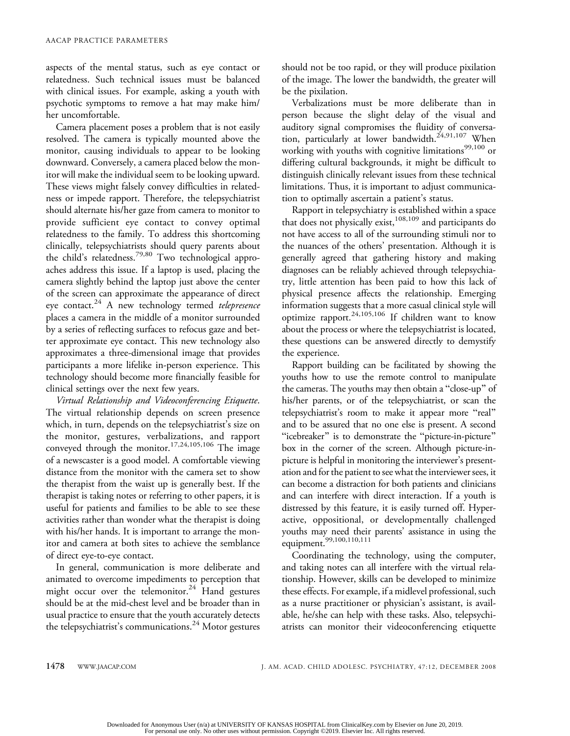aspects of the mental status, such as eye contact or relatedness. Such technical issues must be balanced with clinical issues. For example, asking a youth with psychotic symptoms to remove a hat may make him/ her uncomfortable.

Camera placement poses a problem that is not easily resolved. The camera is typically mounted above the monitor, causing individuals to appear to be looking downward. Conversely, a camera placed below the monitor will make the individual seem to be looking upward. These views might falsely convey difficulties in relatedness or impede rapport. Therefore, the telepsychiatrist should alternate his/her gaze from camera to monitor to provide sufficient eye contact to convey optimal relatedness to the family. To address this shortcoming clinically, telepsychiatrists should query parents about the child's relatedness.79,80 Two technological approaches address this issue. If a laptop is used, placing the camera slightly behind the laptop just above the center of the screen can approximate the appearance of direct eye contact.<sup>24</sup> A new technology termed telepresence places a camera in the middle of a monitor surrounded by a series of reflecting surfaces to refocus gaze and better approximate eye contact. This new technology also approximates a three-dimensional image that provides participants a more lifelike in-person experience. This technology should become more financially feasible for clinical settings over the next few years.

Virtual Relationship and Videoconferencing Etiquette. The virtual relationship depends on screen presence which, in turn, depends on the telepsychiatrist's size on the monitor, gestures, verbalizations, and rapport conveyed through the monitor.<sup>17,24,105,106</sup> The image of a newscaster is a good model. A comfortable viewing distance from the monitor with the camera set to show the therapist from the waist up is generally best. If the therapist is taking notes or referring to other papers, it is useful for patients and families to be able to see these activities rather than wonder what the therapist is doing with his/her hands. It is important to arrange the monitor and camera at both sites to achieve the semblance of direct eye-to-eye contact.

In general, communication is more deliberate and animated to overcome impediments to perception that might occur over the telemonitor.<sup>24</sup> Hand gestures should be at the mid-chest level and be broader than in usual practice to ensure that the youth accurately detects the telepsychiatrist's communications.<sup>24</sup> Motor gestures

should not be too rapid, or they will produce pixilation of the image. The lower the bandwidth, the greater will be the pixilation.

Verbalizations must be more deliberate than in person because the slight delay of the visual and auditory signal compromises the fluidity of conversation, particularly at lower bandwidth.<sup>24,91,107</sup> When working with youths with cognitive limitations $99,100$  or differing cultural backgrounds, it might be difficult to distinguish clinically relevant issues from these technical limitations. Thus, it is important to adjust communication to optimally ascertain a patient's status.

Rapport in telepsychiatry is established within a space that does not physically exist,<sup>108,109</sup> and participants do not have access to all of the surrounding stimuli nor to the nuances of the others' presentation. Although it is generally agreed that gathering history and making diagnoses can be reliably achieved through telepsychiatry, little attention has been paid to how this lack of physical presence affects the relationship. Emerging information suggests that a more casual clinical style will optimize rapport.24,105,106 If children want to know about the process or where the telepsychiatrist is located, these questions can be answered directly to demystify the experience.

Rapport building can be facilitated by showing the youths how to use the remote control to manipulate the cameras. The youths may then obtain a "close-up" of his/her parents, or of the telepsychiatrist, or scan the telepsychiatrist's room to make it appear more "real" and to be assured that no one else is present. A second "icebreaker" is to demonstrate the "picture-in-picture" box in the corner of the screen. Although picture-inpicture is helpful in monitoring the interviewer's presentation and for the patient to see what the interviewer sees, it can become a distraction for both patients and clinicians and can interfere with direct interaction. If a youth is distressed by this feature, it is easily turned off. Hyperactive, oppositional, or developmentally challenged youths may need their parents' assistance in using the equipment.99,100,110,111

Coordinating the technology, using the computer, and taking notes can all interfere with the virtual relationship. However, skills can be developed to minimize these effects. For example, if a midlevel professional, such as a nurse practitioner or physician's assistant, is available, he/she can help with these tasks. Also, telepsychiatrists can monitor their videoconferencing etiquette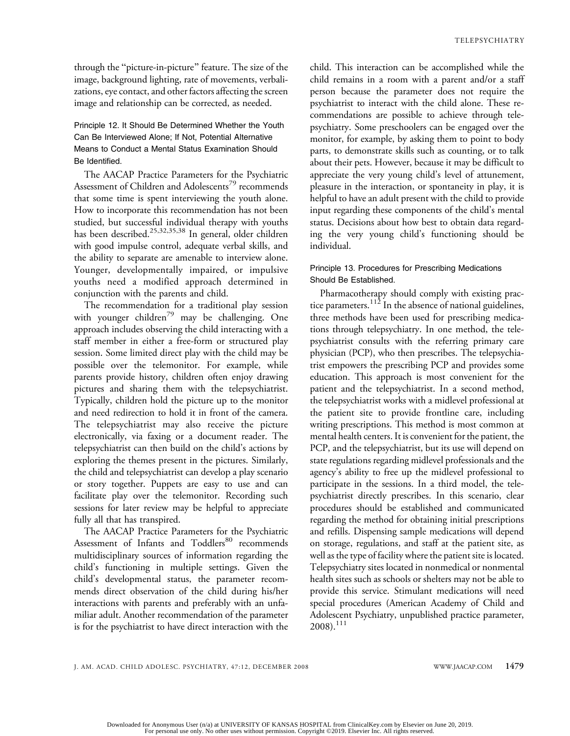through the "picture-in-picture" feature. The size of the image, background lighting, rate of movements, verbalizations, eye contact, and other factors affecting the screen image and relationship can be corrected, as needed.

# Principle 12. It Should Be Determined Whether the Youth Can Be Interviewed Alone; If Not, Potential Alternative Means to Conduct a Mental Status Examination Should Be Identified.

The AACAP Practice Parameters for the Psychiatric Assessment of Children and Adolescents<sup>79</sup> recommends that some time is spent interviewing the youth alone. How to incorporate this recommendation has not been studied, but successful individual therapy with youths has been described.<sup>25,32,35,38</sup> In general, older children with good impulse control, adequate verbal skills, and the ability to separate are amenable to interview alone. Younger, developmentally impaired, or impulsive youths need a modified approach determined in conjunction with the parents and child.

The recommendation for a traditional play session with younger children<sup>79</sup> may be challenging. One approach includes observing the child interacting with a staff member in either a free-form or structured play session. Some limited direct play with the child may be possible over the telemonitor. For example, while parents provide history, children often enjoy drawing pictures and sharing them with the telepsychiatrist. Typically, children hold the picture up to the monitor and need redirection to hold it in front of the camera. The telepsychiatrist may also receive the picture electronically, via faxing or a document reader. The telepsychiatrist can then build on the child's actions by exploring the themes present in the pictures. Similarly, the child and telepsychiatrist can develop a play scenario or story together. Puppets are easy to use and can facilitate play over the telemonitor. Recording such sessions for later review may be helpful to appreciate fully all that has transpired.

The AACAP Practice Parameters for the Psychiatric Assessment of Infants and Toddlers<sup>80</sup> recommends multidisciplinary sources of information regarding the child's functioning in multiple settings. Given the child's developmental status, the parameter recommends direct observation of the child during his/her interactions with parents and preferably with an unfamiliar adult. Another recommendation of the parameter is for the psychiatrist to have direct interaction with the child. This interaction can be accomplished while the child remains in a room with a parent and/or a staff person because the parameter does not require the psychiatrist to interact with the child alone. These recommendations are possible to achieve through telepsychiatry. Some preschoolers can be engaged over the monitor, for example, by asking them to point to body parts, to demonstrate skills such as counting, or to talk about their pets. However, because it may be difficult to appreciate the very young child's level of attunement, pleasure in the interaction, or spontaneity in play, it is helpful to have an adult present with the child to provide input regarding these components of the child's mental status. Decisions about how best to obtain data regarding the very young child's functioning should be individual.

# Principle 13. Procedures for Prescribing Medications Should Be Established.

Pharmacotherapy should comply with existing practice parameters.<sup>112</sup> In the absence of national guidelines, three methods have been used for prescribing medications through telepsychiatry. In one method, the telepsychiatrist consults with the referring primary care physician (PCP), who then prescribes. The telepsychiatrist empowers the prescribing PCP and provides some education. This approach is most convenient for the patient and the telepsychiatrist. In a second method, the telepsychiatrist works with a midlevel professional at the patient site to provide frontline care, including writing prescriptions. This method is most common at mental health centers. It is convenient for the patient, the PCP, and the telepsychiatrist, but its use will depend on state regulations regarding midlevel professionals and the agency's ability to free up the midlevel professional to participate in the sessions. In a third model, the telepsychiatrist directly prescribes. In this scenario, clear procedures should be established and communicated regarding the method for obtaining initial prescriptions and refills. Dispensing sample medications will depend on storage, regulations, and staff at the patient site, as well as the type of facility where the patient site is located. Telepsychiatry sites located in nonmedical or nonmental health sites such as schools or shelters may not be able to provide this service. Stimulant medications will need special procedures (American Academy of Child and Adolescent Psychiatry, unpublished practice parameter,  $2008$ ).<sup>111</sup>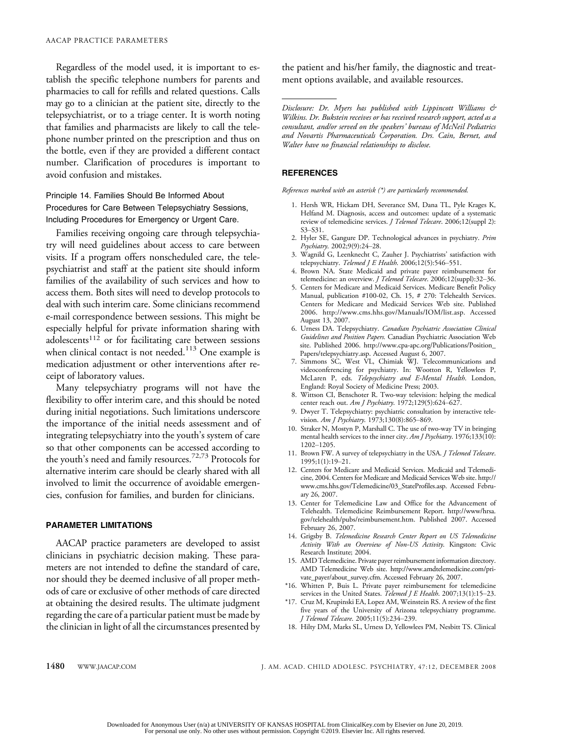Regardless of the model used, it is important to establish the specific telephone numbers for parents and pharmacies to call for refills and related questions. Calls may go to a clinician at the patient site, directly to the telepsychiatrist, or to a triage center. It is worth noting that families and pharmacists are likely to call the telephone number printed on the prescription and thus on the bottle, even if they are provided a different contact number. Clarification of procedures is important to avoid confusion and mistakes.

# Principle 14. Families Should Be Informed About Procedures for Care Between Telepsychiatry Sessions, Including Procedures for Emergency or Urgent Care.

Families receiving ongoing care through telepsychiatry will need guidelines about access to care between visits. If a program offers nonscheduled care, the telepsychiatrist and staff at the patient site should inform families of the availability of such services and how to access them. Both sites will need to develop protocols to deal with such interim care. Some clinicians recommend e-mail correspondence between sessions. This might be especially helpful for private information sharing with adolescents $112$  or for facilitating care between sessions when clinical contact is not needed. $113$  One example is medication adjustment or other interventions after receipt of laboratory values.

Many telepsychiatry programs will not have the flexibility to offer interim care, and this should be noted during initial negotiations. Such limitations underscore the importance of the initial needs assessment and of integrating telepsychiatry into the youth's system of care so that other components can be accessed according to the youth's need and family resources.72,73 Protocols for alternative interim care should be clearly shared with all involved to limit the occurrence of avoidable emergencies, confusion for families, and burden for clinicians.

#### PARAMETER LIMITATIONS

AACAP practice parameters are developed to assist clinicians in psychiatric decision making. These parameters are not intended to define the standard of care, nor should they be deemed inclusive of all proper methods of care or exclusive of other methods of care directed at obtaining the desired results. The ultimate judgment regarding the care of a particular patient must be made by the clinician in light of all the circumstances presented by

the patient and his/her family, the diagnostic and treatment options available, and available resources.

Disclosure: Dr. Myers has published with Lippincott Williams & Wilkins. Dr. Bukstein receives or has received research support, acted as a consultant, and/or served on the speakers' bureaus of McNeil Pediatrics and Novartis Pharmaceuticals Corporation. Drs. Cain, Bernet, and Walter have no financial relationships to disclose.

#### **REFERENCES**

References marked with an asterisk (\*) are particularly recommended.

- 1. Hersh WR, Hickam DH, Severance SM, Dana TL, Pyle Krages K, Helfand M. Diagnosis, access and outcomes: update of a systematic review of telemedicine services. *J Telemed Telecare*. 2006;12(suppl 2):  $S3 - S31$ .
- 2. Hyler SE, Gangure DP. Technological advances in psychiatry. Prim Psychiatry. 2002;9(9):24-28.
- 3. Wagnild G, Leenknecht C, Zauher J. Psychiatrists' satisfaction with telepsychiatry. Telemed J E Health. 2006;12(5):546-551.
- 4. Brown NA. State Medicaid and private payer reimbursement for telemedicine: an overview. *J Telemed Telecare*. 2006;12(suppl):32-36.
- 5. Centers for Medicare and Medicaid Services. Medicare Benefit Policy Manual, publication #100-02, Ch. 15, # 270: Telehealth Services. Centers for Medicare and Medicaid Services Web site. Published 2006. http://www.cms.hhs.gov/Manuals/IOM/list.asp. Accessed August 13, 2007.
- 6. Urness DA. Telepsychiatry. Canadian Psychiatric Association Clinical Guidelines and Position Papers. Canadian Psychiatric Association Web site. Published 2006. http://www.cpa-apc.org/Publications/Position\_ Papers/telepsychiatry.asp. Accessed August 6, 2007.
- 7. Simmons SC, West VL, Chimiak WJ. Telecommunications and videoconferencing for psychiatry. In: Wootton R, Yellowlees P, McLaren P, eds. Telepsychiatry and E-Mental Health. London, England: Royal Society of Medicine Press; 2003.
- 8. Wittson CI, Benschoter R. Two-way television: helping the medical center reach out. Am J Psychiatry. 1972;129(5):624-627.
- 9. Dwyer T. Telepsychiatry: psychiatric consultation by interactive television.  $Am\,J$  Psychiatry. 1973;130(8):865-869.
- 10. Straker N, Mostyn P, Marshall C. The use of two-way TV in bringing mental health services to the inner city. Am J Psychiatry. 1976;133(10):  $1202 - 1205$ .
- 11. Brown FW. A survey of telepsychiatry in the USA. *J Telemed Telecare*. 1995;1(1):19-21.
- 12. Centers for Medicare and Medicaid Services. Medicaid and Telemedicine, 2004. Centers for Medicare and Medicaid Services Web site. http:// www.cms.hhs.gov/Telemedicine/03\_StateProfiles.asp. Accessed February 26, 2007.
- 13. Center for Telemedicine Law and Office for the Advancement of Telehealth. Telemedicine Reimbursement Report. http://www/hrsa. gov/telehealth/pubs/reimbursement.htm. Published 2007. Accessed February 26, 2007.
- 14. Grigsby B. Telemedicine Research Center Report on US Telemedicine Activity With an Overview of Non-US Activity. Kingston: Civic Research Institute; 2004.
- 15. AMD Telemedicine. Private payer reimbursement information directory. AMD Telemedicine Web site. http://www.amdtelemedicine.com/private\_payer/about\_survey.cfm. Accessed February 26, 2007.
- \*16. Whitten P, Buis L. Private payer reimbursement for telemedicine services in the United States. Telemed J E Health. 2007;13(1):15-23.
- \*17. Cruz M, Krupinski EA, Lopez AM, Weinstein RS. A review of the first five years of the University of Arizona telepsychiatry programme. J Telemed Telecare. 2005;11(5):234-239.
- 18. Hilty DM, Marks SL, Urness D, Yellowlees PM, Nesbitt TS. Clinical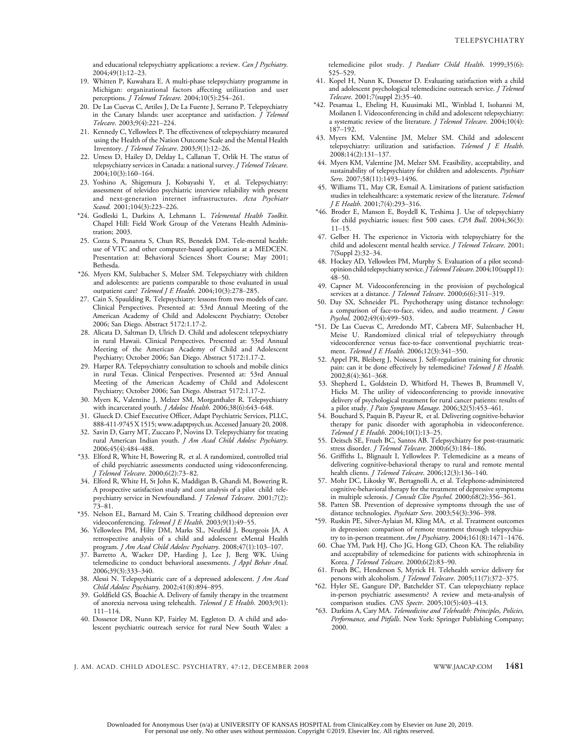and educational telepsychiatry applications: a review. Can J Psychiatry. 2004;49(1):12-23

- 19. Whitten P, Kuwahara E. A multi-phase telepsychiatry programme in Michigan: organizational factors affecting utilization and user perceptions. J Telemed Telecare. 2004;10(5):254-261.
- 20. De Las Cuevas C, Artiles J, De La Fuente J, Serrano P. Telepsychiatry in the Canary Islands: user acceptance and satisfaction. *J Telemed* Telecare. 2003;9(4):221-224.
- 21. Kennedy C, Yellowlees P. The effectiveness of telepsychiatry measured using the Health of the Nation Outcome Scale and the Mental Health Inventory. J Telemed Telecare. 2003;9(1):12-26.
- 22. Urness D, Hailey D, Delday L, Callanan T, Orlik H. The status of telepsychiatry services in Canada: a national survey. *J Telemed Telecare*. 2004;10(3):160-164.
- 23. Yoshino A, Shigemura J, Kobayashi Y, et al. Telepsychiatry: assessment of televideo psychiatric interview reliability with present and next-generation internet infrastructures. Acta Psychiatr Scand. 2001;104(3):223-226.
- \*24. Godleski L, Darkins A, Lehmann L. Telemental Health Toolkit. Chapel Hill: Field Work Group of the Veterans Health Administration; 2003.
- 25. Cozza S, Prasanna S, Chun RS, Benedek DM. Tele-mental health: use of VTC and other computer-based applications at a MEDCEN. Presentation at: Behavioral Sciences Short Course; May 2001; Bethesda.
- \*26. Myers KM, Sulzbacher S, Melzer SM. Telepsychiatry with children and adolescents: are patients comparable to those evaluated in usual outpatient care? Telemed J E Health. 2004;10(3):278-285
- 27. Cain S, Spaulding R. Telepsychiatry: lessons from two models of care. Clinical Perspectives. Presented at: 53rd Annual Meeting of the American Academy of Child and Adolescent Psychiatry; October 2006; San Diego. Abstract 5172:1.17-2.
- 28. Alicata D, Saltman D, Ulrich D. Child and adolescent telepsychiatry in rural Hawaii. Clinical Perspectives. Presented at: 53rd Annual Meeting of the American Academy of Child and Adolescent Psychiatry; October 2006; San Diego. Abstract 5172:1.17-2.
- 29. Harper RA. Telepsychiatry consultation to schools and mobile clinics in rural Texas. Clinical Perspectives. Presented at: 53rd Annual Meeting of the American Academy of Child and Adolescent Psychiatry; October 2006; San Diego. Abstract 5172:1.17-2.
- 30. Myers K, Valentine J, Melzer SM, Morganthaler R. Telepsychiatry with incarcerated youth. *J Adolesc Health*. 2006;38(6):643-648.
- 31. Glueck D. Chief Executive Officer, Adapt Psychiatric Services, PLLC, 888-411-9745 X 1515; www.adaptpsych.us. Accessed January 20, 2008.
- 32. Savin D, Garry MT, Zuccaro P, Novins D. Telepsychiatry for treating rural American Indian youth. J Am Acad Child Adolesc Psychiatry. 2006;45(4):484-488.
- \*33. Elford R, White H, Bowering R, et al. A randomized, controlled trial of child psychiatric assessments conducted using videoconferencing. J Telemed Telecare. 2000;6(2):73-82.
- 34. Elford R, White H, St John K, Maddigan B, Ghandi M, Bowering R. A prospective satisfaction study and cost analysis of a pilot child telepsychiatry service in Newfoundland. J Telemed Telecare. 2001;7(2): 73-81.
- \*35. Nelson EL, Barnard M, Cain S. Treating childhood depression over videoconferencing. Telemed J E Health.  $2003;9(1):49-55$ .
- 36. Yellowlees PM, Hilty DM, Marks SL, Neufeld J, Bourgeois JA. A retrospective analysis of a child and adolescent eMental Health program. J Am Acad Child Adolesc Psychiatry. 2008;47(1):103-107.
- 37. Barretto A, Wacker DP, Harding J, Lee J, Berg WK. Using telemedicine to conduct behavioral assessments. J Appl Behav Anal. 2006;39(3):333-340.
- 38. Alessi N. Telepsychiatric care of a depressed adolescent. J Am Acad Child Adolesc Psychiatry. 2002;41(8):894-895.
- 39. Goldfield GS, Boachie A. Delivery of family therapy in the treatment of anorexia nervosa using telehealth. Telemed J E Health. 2003;9(1):  $111 - 114.$
- 40. Dossetor DR, Nunn KP, Fairley M, Eggleton D. A child and adolescent psychiatric outreach service for rural New South Wales: a

telemedicine pilot study. J Paediatr Child Health. 1999;35(6): 525-529

- 41. Kopel H, Nunn K, Dossetor D. Evaluating satisfaction with a child and adolescent psychological telemedicine outreach service. J Telemed Telecare. 2001;7(suppl 2):35-40.
- \*42. Pesamaa L, Ebeling H, Kuusimaki ML, Winblad I, Isohanni M, Moilanen I. Videoconferencing in child and adolescent telepsychiatry: a systematic review of the literature. *J Telemed Telecare*. 2004;10(4):  $187 - 192.$
- 43. Myers KM, Valentine JM, Melzer SM. Child and adolescent telepsychiatry: utilization and satisfaction. Telemed J E Health.  $2008;14(2):131-137.$
- 44. Myers KM, Valentine JM, Melzer SM. Feasibility, acceptability, and sustainability of telepsychiatry for children and adolescents. Psychiatr Serv. 2007;58(11):1493-1496.
- 45. Williams TL, May CR, Esmail A. Limitations of patient satisfaction studies in telehealthcare: a systematic review of the literature. Telemed J E Health. 2001;7(4):293-316.
- \*46. Broder E, Manson E, Boydell K, Teshima J. Use of telepsychiatry for child psychiatric issues: first 500 cases. CPA Bull. 2004;36(3):  $11-15.$
- 47. Gelber H. The experience in Victoria with telepsychiatry for the child and adolescent mental health service. *J Telemed Telecare*. 2001; 7(Suppl 2):32-34.
- 48. Hockey AD, Yellowlees PM, Murphy S. Evaluation of a pilot secondopinion child telepsychiatry service. *J Telemed Telecare*. 2004;10(suppl 1):  $48 - 50$
- 49. Capner M. Videoconferencing in the provision of psychological services at a distance. J Telemed Telecare. 2000;6(6):311-319.
- 50. Day SX, Schneider PL. Psychotherapy using distance technology: a comparison of face-to-face, video, and audio treatment. J Couns Psychol. 2002;49(4):499-503.
- \*51. De Las Cuevas C, Arredondo MT, Cabrera MF, Sulzenbacher H, Meise U. Randomized clinical trial of telepsychiatry through videoconference versus face-to-face conventional psychiatric treatment. Telemed J E Health. 2006;12(3):341-350.
- 52. Appel PR, Bleiberg J, Noiseux J. Self-regulation training for chronic pain: can it be done effectively by telemedicine? Telemed J E Health. 2002;8(4):361-368.
- 53. Shepherd L, Goldstein D, Whitford H, Thewes B, Brummell V, Hicks M. The utility of videoconferencing to provide innovative delivery of psychological treatment for rural cancer patients: results of a pilot study. *J Pain Symptom Manage*. 2006;32(5):453-461.
- 54. Bouchard S, Paquin B, Payeur R, et al. Delivering cognitive-behavior therapy for panic disorder with agoraphobia in videoconference. Telemed *I E Health.* 2004;10(1):13-25.
- 55. Deitsch SE, Frueh BC, Santos AB. Telepsychiatry for post-traumatic stress disorder. *J Telemed Telecare*. 2000;6(3):184-186.
- 56. Griffiths L, Blignault I, Yellowlees P. Telemedicine as a means of delivering cognitive-behavioral therapy to rural and remote mental health clients. J Telemed Telecare. 2006;12(3):136-140.
- 57. Mohr DC, Likosky W, Bertagnolli A, et al. Telephone-administered cognitive-behavioral therapy for the treatment of depressive symptoms in multiple sclerosis. J Consult Clin Psychol. 2000;68(2):356-361.
- 58. Patten SB. Prevention of depressive symptoms through the use of distance technologies. Psychiatr Serv. 2003;54(3):396-398.
- \*59. Ruskin PE, Silver-Aylaian M, Kling MA, et al. Treatment outcomes in depression: comparison of remote treatment through telepsychiatry to in-person treatment. Am *J Psychiatry*.  $2004;161(8):1471-1476$ .
- 60. Chae YM, Park HJ, Cho JG, Hong GD, Cheon KA. The reliability and acceptability of telemedicine for patients with schizophrenia in Korea. *J Telemed Telecare*. 2000;6(2):83-90.
- 61. Frueh BC, Henderson S, Myrick H. Telehealth service delivery for persons with alcoholism. *J Telemed Telecare*. 2005;11(7):372-375.
- \*62. Hyler SE, Gangure DP, Batchelder ST. Can telepsychiatry replace in-person psychiatric assessments? A review and meta-analysis of comparison studies. CNS Spectr. 2005;10(5):403-413.
- \*63. Darkins A, Cary MA. Telemedicine and Telehealth: Principles, Policies, Performance, and Pitfalls. New York: Springer Publishing Company; 2000.

J. AM. ACAD. CHILD ADOLESC. PSYCHIATRY, 47:12, DECEMBER 2008 WWW.JAACAP.COM 1481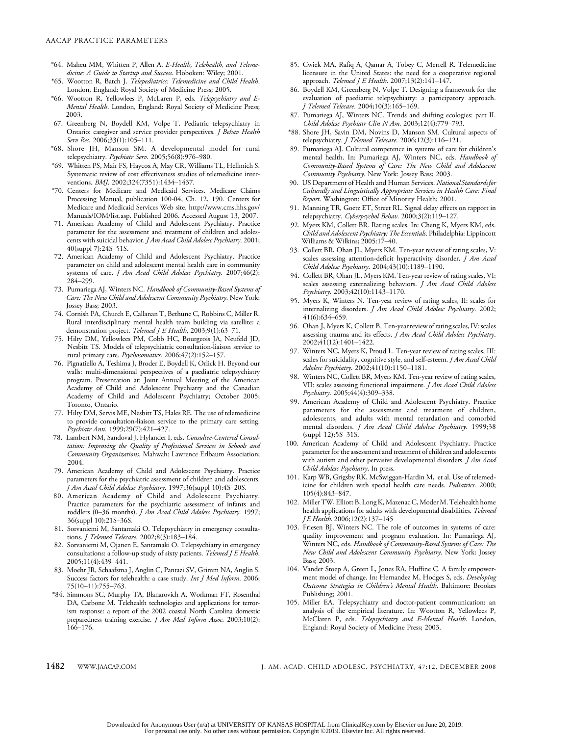- \*64. Maheu MM, Whitten P, Allen A. E-Health, Telehealth, and Telemedicine: A Guide to Startup and Success. Hoboken: Wiley; 2001.
- \*65. Wootton R, Batch J. Telepediatrics: Telemedicine and Child Health. London, England: Royal Society of Medicine Press; 2005.
- \*66. Wootton R, Yellowlees P, McLaren P, eds. Telepsychiatry and E-Mental Health. London, England: Royal Society of Medicine Press; 2003.
- 67. Greenberg N, Boydell KM, Volpe T. Pediatric telepsychiatry in Ontario: caregiver and service provider perspectives. J Behav Health Serv Res. 2006;33(1):105-111.
- \*68. Shore JH, Manson SM. A developmental model for rural telepsychiatry. Psychiatr Serv. 2005;56(8):976-980.
- \*69. Whitten PS, Mair FS, Haycox A, May CR, Williams TL, Hellmich S. Systematic review of cost effectiveness studies of telemedicine interventions. *BMJ*. 2002;324(7351):1434-1437.
- \*70. Centers for Medicare and Medicaid Services. Medicare Claims Processing Manual, publication 100-04, Ch. 12, 190. Centers for Medicare and Medicaid Services Web site. http://www.cms.hhs.gov/ Manuals/IOM/list.asp. Published 2006. Accessed August 13, 2007.
- 71. American Academy of Child and Adolescent Psychiatry. Practice parameter for the assessment and treatment of children and adolescents with suicidal behavior. J Am Acad Child Adolesc Psychiatry. 2001; 40(suppl 7):24S-51S.
- 72. American Academy of Child and Adolescent Psychiatry. Practice parameter on child and adolescent mental health care in community systems of care. J Am Acad Child Adolesc Psychiatry. 2007;46(2): 284-299
- 73. Pumariega AJ, Winters NC. Handbook of Community-Based Systems of Care: The New Child and Adolescent Community Psychiatry. New York: Jossey Bass; 2003.
- 74. Cornish PA, Church E, Callanan T, Bethune C, Robbins C, Miller R. Rural interdisciplinary mental health team building via satellite: a demonstration project. Telemed J E Health. 2003;9(1):63-71.
- 75. Hilty DM, Yellowlees PM, Cobb HC, Bourgeois JA, Neufeld JD, Nesbitt TS. Models of telepsychiatric consultation-liaison service to rural primary care. Psychosomatics. 2006;47(2):152-157.
- 76. Pignatiello A, Teshima J, Broder E, Boydell K, Orlick H. Beyond our walls: multi-dimensional perspectives of a paediatric telepsychiatry program. Presentation at: Joint Annual Meeting of the American Academy of Child and Adolescent Psychiatry and the Canadian Academy of Child and Adolescent Psychiatry; October 2005; Toronto, Ontario.
- 77. Hilty DM, Servis ME, Nesbitt TS, Hales RE. The use of telemedicine to provide consultation-liaison service to the primary care setting. Psychiatr Ann. 1999;29(7):421-427.
- 78. Lambert NM, Sandoval J, Hylander I, eds. Consultee-Centered Consultation: Improving the Quality of Professional Services in Schools and Community Organizations. Mahwah: Lawrence Erlbaum Association; 2004.
- 79. American Academy of Child and Adolescent Psychiatry. Practice parameters for the psychiatric assessment of children and adolescents. J Am Acad Child Adolesc Psychiatry. 1997;36(suppl 10):4S-20S.
- 80. American Academy of Child and Adolescent Psychiatry. Practice parameters for the psychiatric assessment of infants and toddlers (0-36 months). J Am Acad Child Adolesc Psychiatry. 1997; 36(suppl 10):21S-36S.
- 81. Sorvaniemi M, Santamaki O. Telepsychiatry in emergency consultations. *J Telemed Telecare*. 2002;8(3):183-184.
- 82. Sorvaniemi M, Ojanen E, Santamaki O. Telepsychiatry in emergency consultations: a follow-up study of sixty patients. Telemed J E Health.  $2005:11(4):439-441.$
- 83. Moehr JR, Schaafsma J, Anglin C, Pantazi SV, Grimm NA, Anglin S. Success factors for telehealth: a case study. Int J Med Inform. 2006; 75(10-11):755-763.
- \*84. Simmons SC, Murphy TA, Blanarovich A, Workman FT, Rosenthal DA, Carbone M. Telehealth technologies and applications for terrorism response: a report of the 2002 coastal North Carolina domestic preparedness training exercise. *J Am Med Inform Assoc.* 2003;10(2): 166-176.
- 85. Cwiek MA, Rafiq A, Qamar A, Tobey C, Merrell R. Telemedicine licensure in the United States: the need for a cooperative regional approach. Telemed J E Health.  $2007;13(2):141-147$ .
- 86. Boydell KM, Greenberg N, Volpe T. Designing a framework for the evaluation of paediatric telepsychiatry: a participatory approach. J Telemed Telecare. 2004;10(3):165-169.
- 87. Pumariega AJ, Winters NC. Trends and shifting ecologies: part II. Child Adolesc Psychiatr Clin N Am. 2003;12(4):779-793.
- \*88. Shore JH, Savin DM, Novins D, Manson SM. Cultural aspects of telepsychiatry. J Telemed Telecare. 2006;12(3):116-121.
- 89. Pumariega AJ. Cultural competence in systems of care for children's mental health. In: Pumariega AJ, Winters NC, eds. Handbook of Community-Based Systems of Care: The New Child and Adolescent Community Psychiatry. New York: Jossey Bass; 2003.
- 90. US Department of Health and Human Services. National Standards for Culturally and Linguistically Appropriate Services in Health Care: Final Report. Washington: Office of Minority Health; 2001.
- 91. Manning TR, Goetz ET, Street RL. Signal delay effects on rapport in telepsychiatry. Cyberpsychol Behav. 2000;3(2):119-127.
- 92. Myers KM, Collett BR. Rating scales. In: Cheng K, Myers KM, eds. Child and Adolescent Psychiatry: The Essentials. Philadelphia: Lippincott Williams & Wilkins; 2005:17–40.
- 93. Collett BR, Ohan JL, Myers KM. Ten-year review of rating scales, V: scales assessing attention-deficit hyperactivity disorder. J Am Acad Child Adolesc Psychiatry. 2004;43(10):1189-1190.
- 94. Collett BR, Ohan JL, Myers KM. Ten-year review of rating scales, VI: scales assessing externalizing behaviors. J Am Acad Child Adolesc Psychiatry. 2003;42(10):1143-1170.
- 95. Myers K, Winters N. Ten-year review of rating scales, II: scales for internalizing disorders. J Am Acad Child Adolesc Psychiatry. 2002; 41(6):634-659
- 96. Ohan J, Myers K, Collett B. Ten-year review of rating scales, IV: scales assessing trauma and its effects. *J Am Acad Child Adolesc Psychiatry*. 2002;41(12):1401-1422.
- 97. Winters NC, Myers K, Proud L. Ten-year review of rating scales, III: scales for suicidality, cognitive style, and self-esteem. J Am Acad Child Adolesc Psychiatry. 2002;41(10):1150-1181.
- 98. Winters NC, Collett BR, Myers KM. Ten-year review of rating scales, VII: scales assessing functional impairment. *J Am Acad Child Adolesc* Psychiatry. 2005;44(4):309-338.
- 99. American Academy of Child and Adolescent Psychiatry. Practice parameters for the assessment and treatment of children, adolescents, and adults with mental retardation and comorbid mental disorders. J Am Acad Child Adolesc Psychiatry. 1999;38 (suppl 12):5S-31S.
- 100. American Academy of Child and Adolescent Psychiatry. Practice parameter for the assessment and treatment of children and adolescents with autism and other pervasive developmental disorders. *J Am Acad* Child Adolesc Psychiatry. In press.
- 101. Karp WB, Grigsby RK, McSwiggan-Hardin M, et al. Use of telemedicine for children with special health care needs. Pediatrics. 2000; 105(4):843-847.
- 102. Miller TW, Elliott B, Long K, Mazenac C, Moder M. Telehealth home health applications for adults with developmental disabilities. Telemed J E Health. 2006;12(2):137-145
- 103. Friesen BJ, Winters NC. The role of outcomes in systems of care: quality improvement and program evaluation. In: Pumariega AJ, Winters NC, eds. Handbook of Community-Based Systems of Care: The New Child and Adolescent Community Psychiatry. New York: Jossey Bass; 2003.
- 104. Vander Stoep A, Green L, Jones RA, Huffine C. A family empowerment model of change. In: Hernandez M, Hodges S, eds. Developing Outcome Strategies in Children's Mental Health. Baltimore: Brookes Publishing; 2001.
- 105. Miller EA. Telepsychiatry and doctor-patient communication: an analysis of the empirical literature. In: Wootton R, Yellowlees P, McClaren P, eds. Telepsychiatry and E-Mental Health. London, England: Royal Society of Medicine Press; 2003.

1482 WWW.JAACAP.COM J. AM. ACAD. CHILD ADOLESC. PSYCHIATRY, 47:12, DECEMBER 2008